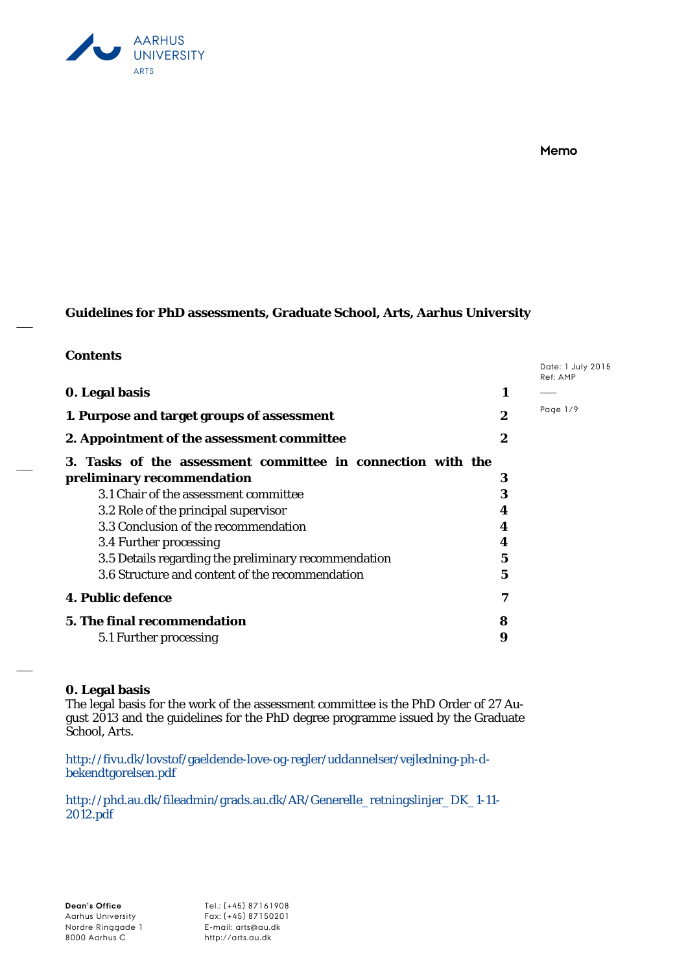

# **Memo**

# **Guidelines for PhD assessments, Graduate School, Arts, Aarhus University**

# **Contents**

|   | Date: 1 July 2015<br>Ref: AMP |
|---|-------------------------------|
| 1 |                               |
| 2 | Page 1/9                      |
| 2 |                               |
|   |                               |
| 3 |                               |
| 3 |                               |
| 4 |                               |
| 4 |                               |
| 4 |                               |
| 5 |                               |
| 5 |                               |
| 7 |                               |
| 8 |                               |
| 9 |                               |
|   |                               |

# **0. Legal basis**

The legal basis for the work of the assessment committee is the PhD Order of 27 August 2013 and the guidelines for the PhD degree programme issued by the Graduate School, Arts.

[http://fivu.dk/lovstof/gaeldende-love-og-regler/uddannelser/vejledning-ph-d](http://fivu.dk/lovstof/gaeldende-love-og-regler/uddannelser/vejledning-ph-d-bekendtgorelsen.pdf)[bekendtgorelsen.pdf](http://fivu.dk/lovstof/gaeldende-love-og-regler/uddannelser/vejledning-ph-d-bekendtgorelsen.pdf)

[http://phd.au.dk/fileadmin/grads.au.dk/AR/Generelle\\_retningslinjer\\_DK\\_1-11-](http://phd.au.dk/fileadmin/grads.au.dk/AR/Generelle_retningslinjer_DK_1-11-2012.pdf) [2012.pdf](http://phd.au.dk/fileadmin/grads.au.dk/AR/Generelle_retningslinjer_DK_1-11-2012.pdf)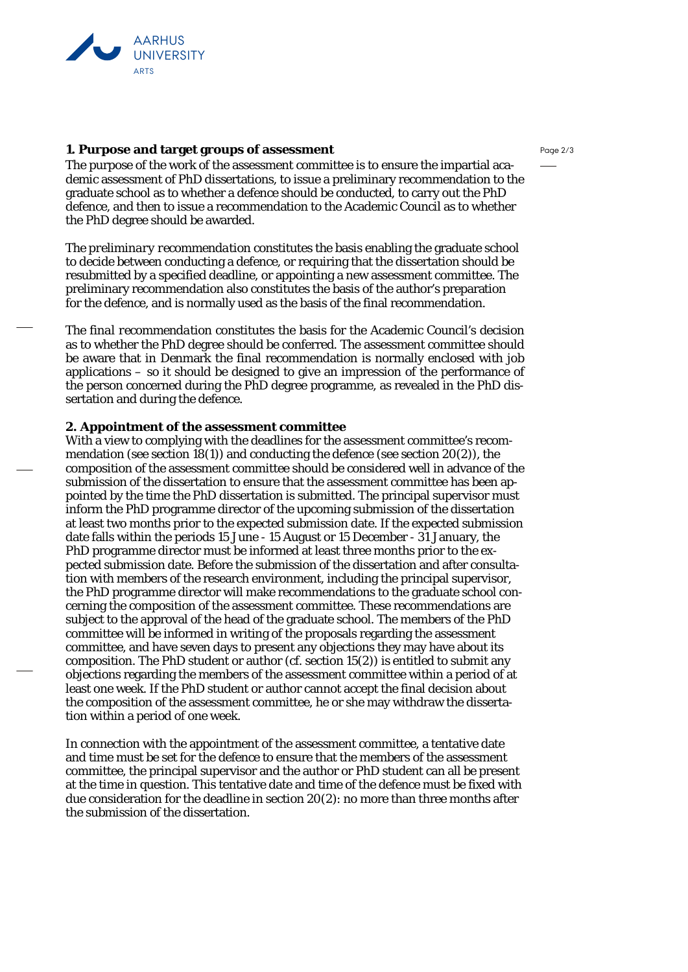

## **1. Purpose and target groups of assessment**

The purpose of the work of the assessment committee is to ensure the impartial academic assessment of PhD dissertations, to issue a preliminary recommendation to the graduate school as to whether a defence should be conducted, to carry out the PhD defence, and then to issue a recommendation to the Academic Council as to whether the PhD degree should be awarded.

*The preliminary recommendation* constitutes the basis enabling the graduate school to decide between conducting a defence, or requiring that the dissertation should be resubmitted by a specified deadline, or appointing a new assessment committee. The preliminary recommendation also constitutes the basis of the author's preparation for the defence, and is normally used as the basis of the final recommendation.

*The final recommendation* constitutes the basis for the Academic Council's decision as to whether the PhD degree should be conferred. The assessment committee should be aware that in Denmark the final recommendation is normally enclosed with job applications – so it should be designed to give an impression of the performance of the person concerned during the PhD degree programme, as revealed in the PhD dissertation and during the defence.

# **2. Appointment of the assessment committee**

With a view to complyi*n*g with the deadlines for the assessment committee's recommendation (see section 18(1)) and conducting the defence (see section 20(2)), the composition of the assessment committee should be considered well in advance of the submission of the dissertation to ensure that the assessment committee has been appointed by the time the PhD dissertation is submitted. The principal supervisor must inform the PhD programme director of the upcoming submission of the dissertation at least two months prior to the expected submission date. If the expected submission date falls within the periods 15 June - 15 August or 15 December - 31 January, the PhD programme director must be informed at least three months prior to the expected submission date. Before the submission of the dissertation and after consultation with members of the research environment, including the principal supervisor, the PhD programme director will make recommendations to the graduate school concerning the composition of the assessment committee. These recommendations are subject to the approval of the head of the graduate school. The members of the PhD committee will be informed in writing of the proposals regarding the assessment committee, and have seven days to present any objections they may have about its composition. The PhD student or author (cf. section 15(2)) is entitled to submit any objections regarding the members of the assessment committee within a period of at least one week. If the PhD student or author cannot accept the final decision about the composition of the assessment committee, he or she may withdraw the dissertation within a period of one week.

In connection with the appointment of the assessment committee, a tentative date and time must be set for the defence to ensure that the members of the assessment committee, the principal supervisor and the author or PhD student can all be present at the time in question. This tentative date and time of the defence must be fixed with due consideration for the deadline in section 20(2): no more than three months after the submission of the dissertation.

Page 2/3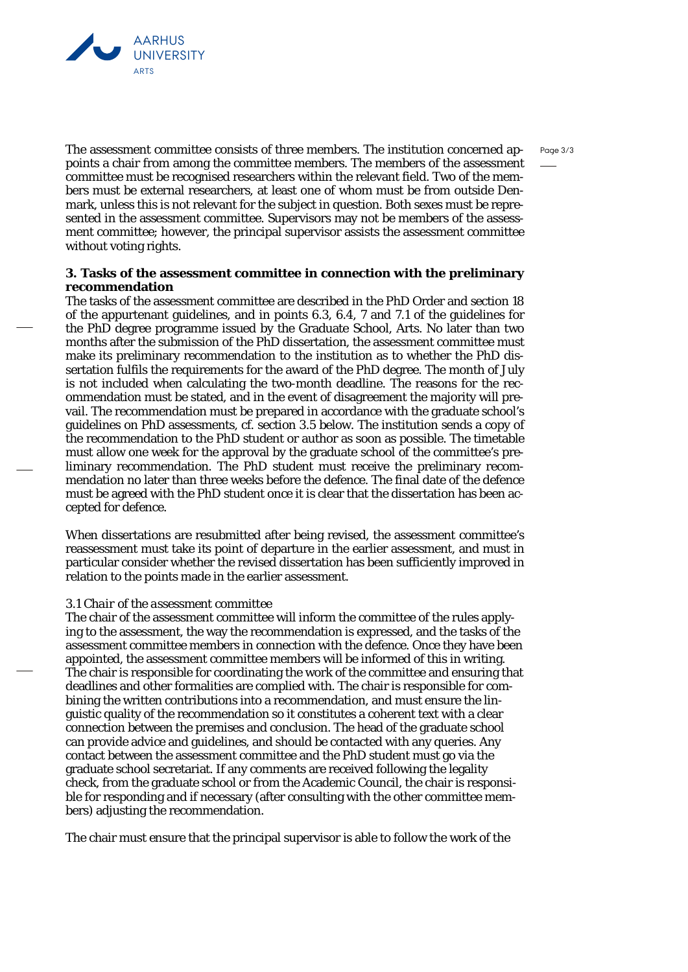

The assessment committee consists of three members. The institution concerned appoints a chair from among the committee members. The members of the assessment committee must be recognised researchers within the relevant field. Two of the members must be external researchers, at least one of whom must be from outside Denmark, unless this is not relevant for the subject in question. Both sexes must be represented in the assessment committee. Supervisors may not be members of the assessment committee; however, the principal supervisor assists the assessment committee without voting rights.

# **3. Tasks of the assessment committee in connection with the preliminary recommendation**

The tasks of the assessment committee are described in the PhD Order and section 18 of the appurtenant guidelines, and in points 6.3, 6.4, 7 and 7.1 of the guidelines for the PhD degree programme issued by the Graduate School, Arts. No later than two months after the submission of the PhD dissertation, the assessment committee must make its preliminary recommendation to the institution as to whether the PhD dissertation fulfils the requirements for the award of the PhD degree. The month of July is not included when calculating the two-month deadline. The reasons for the recommendation must be stated, and in the event of disagreement the majority will prevail. The recommendation must be prepared in accordance with the graduate school's guidelines on PhD assessments, cf. section 3.5 below. The institution sends a copy of the recommendation to the PhD student or author as soon as possible. The timetable must allow one week for the approval by the graduate school of the committee's preliminary recommendation. The PhD student must receive the preliminary recommendation no later than three weeks before the defence. The final date of the defence must be agreed with the PhD student once it is clear that the dissertation has been accepted for defence.

When dissertations are resubmitted after being revised, the assessment committee's reassessment must take its point of departure in the earlier assessment, and must in particular consider whether the revised dissertation has been sufficiently improved in relation to the points made in the earlier assessment.

### *3.1 Chair of the assessment committee*

The chair of the assessment committee will inform the committee of the rules applying to the assessment, the way the recommendation is expressed, and the tasks of the assessment committee members in connection with the defence. Once they have been appointed, the assessment committee members will be informed of this in writing. The chair is responsible for coordinating the work of the committee and ensuring that deadlines and other formalities are complied with. The chair is responsible for combining the written contributions into a recommendation, and must ensure the linguistic quality of the recommendation so it constitutes a coherent text with a clear connection between the premises and conclusion. The head of the graduate school can provide advice and guidelines, and should be contacted with any queries. Any contact between the assessment committee and the PhD student must go via the graduate school secretariat. If any comments are received following the legality check, from the graduate school or from the Academic Council, the chair is responsible for responding and if necessary (after consulting with the other committee members) adjusting the recommendation.

The chair must ensure that the principal supervisor is able to follow the work of the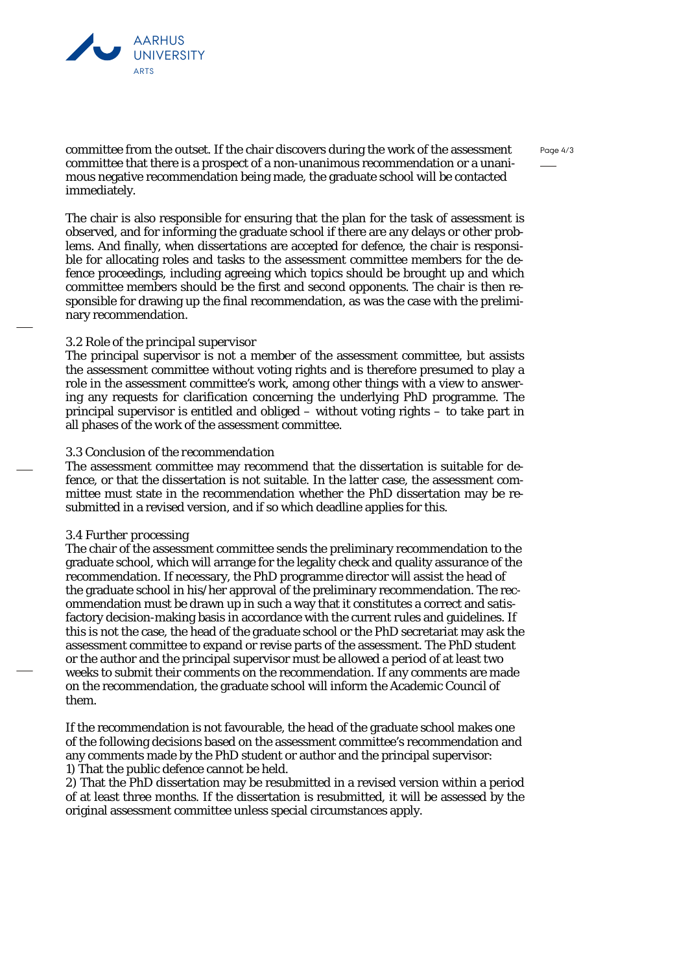

committee from the outset. If the chair discovers during the work of the assessment committee that there is a prospect of a non-unanimous recommendation or a unanimous negative recommendation being made, the graduate school will be contacted immediately.

The chair is also responsible for ensuring that the plan for the task of assessment is observed, and for informing the graduate school if there are any delays or other problems. And finally, when dissertations are accepted for defence, the chair is responsible for allocating roles and tasks to the assessment committee members for the defence proceedings, including agreeing which topics should be brought up and which committee members should be the first and second opponents. The chair is then responsible for drawing up the final recommendation, as was the case with the preliminary recommendation.

## *3.2 Role of the principal supervisor*

The principal supervisor is not a member of the assessment committee, but assists the assessment committee without voting rights and is therefore presumed to play a role in the assessment committee's work, among other things with a view to answering any requests for clarification concerning the underlying PhD programme. The principal supervisor is entitled and obliged – without voting rights – to take part in all phases of the work of the assessment committee.

### *3.3 Conclusion of the recommendation*

The assessment committee may recommend that the dissertation is suitable for defence, or that the dissertation is not suitable. In the latter case, the assessment committee must state in the recommendation whether the PhD dissertation may be resubmitted in a revised version, and if so which deadline applies for this.

### *3.4 Further processing*

The chair of the assessment committee sends the preliminary recommendation to the graduate school, which will arrange for the legality check and quality assurance of the recommendation. If necessary, the PhD programme director will assist the head of the graduate school in his/her approval of the preliminary recommendation. The recommendation must be drawn up in such a way that it constitutes a correct and satisfactory decision-making basis in accordance with the current rules and guidelines. If this is not the case, the head of the graduate school or the PhD secretariat may ask the assessment committee to expand or revise parts of the assessment. The PhD student or the author and the principal supervisor must be allowed a period of at least two weeks to submit their comments on the recommendation. If any comments are made on the recommendation, the graduate school will inform the Academic Council of them.

If the recommendation is not favourable, the head of the graduate school makes one of the following decisions based on the assessment committee's recommendation and any comments made by the PhD student or author and the principal supervisor: 1) That the public defence cannot be held.

2) That the PhD dissertation may be resubmitted in a revised version within a period of at least three months. If the dissertation is resubmitted, it will be assessed by the original assessment committee unless special circumstances apply.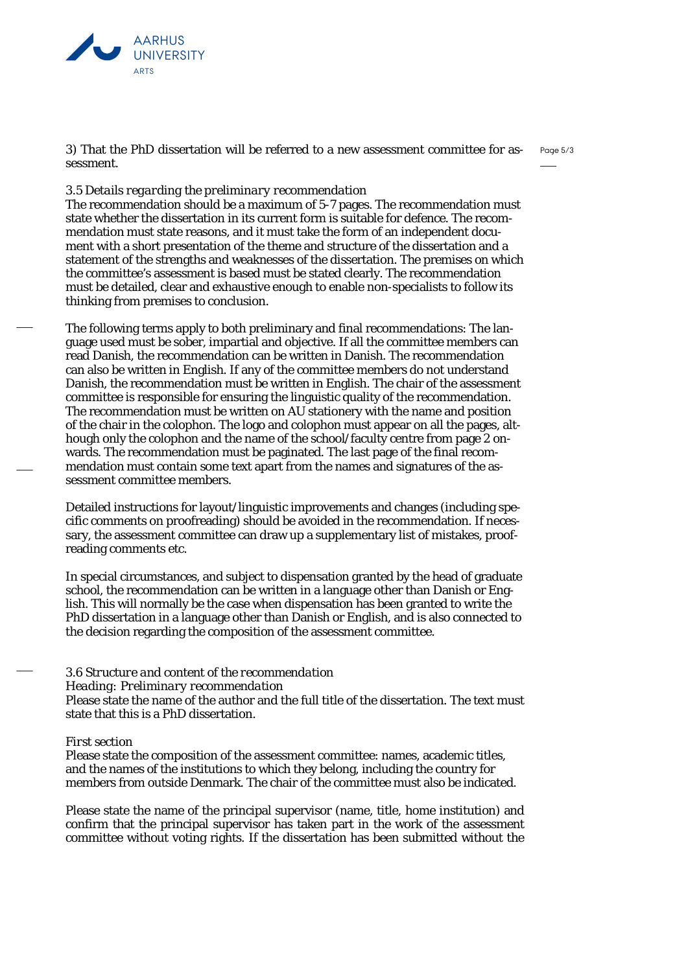

Page 5/3 3) That the PhD dissertation will be referred to a new assessment committee for assessment.

## *3.5 Details regarding the preliminary recommendation*

The recommendation should be a maximum of 5-7 pages. The recommendation must state whether the dissertation in its current form is suitable for defence. The recommendation must state reasons, and it must take the form of an independent document with a short presentation of the theme and structure of the dissertation and a statement of the strengths and weaknesses of the dissertation. The premises on which the committee's assessment is based must be stated clearly. The recommendation must be detailed, clear and exhaustive enough to enable non-specialists to follow its thinking from premises to conclusion.

The following terms apply to both preliminary and final recommendations: The language used must be sober, impartial and objective. If all the committee members can read Danish, the recommendation can be written in Danish. The recommendation can also be written in English. If any of the committee members do not understand Danish, the recommendation must be written in English. The chair of the assessment committee is responsible for ensuring the linguistic quality of the recommendation. The recommendation must be written on AU stationery with the name and position of the chair in the colophon. The logo and colophon must appear on all the pages, although only the colophon and the name of the school/faculty centre from page 2 onwards. The recommendation must be paginated. The last page of the final recommendation must contain some text apart from the names and signatures of the assessment committee members.

Detailed instructions for layout/linguistic improvements and changes (including specific comments on proofreading) should be avoided in the recommendation. If necessary, the assessment committee can draw up a supplementary list of mistakes, proofreading comments etc.

In special circumstances, and subject to dispensation granted by the head of graduate school, the recommendation can be written in a language other than Danish or English. This will normally be the case when dispensation has been granted to write the PhD dissertation in a language other than Danish or English, and is also connected to the decision regarding the composition of the assessment committee.

# *3.6 Structure and content of the recommendation*

*Heading: Preliminary recommendation*

Please state the name of the author and the full title of the dissertation. The text must state that this is a PhD dissertation.

## *First section*

Please state the composition of the assessment committee: names, academic titles, and the names of the institutions to which they belong, including the country for members from outside Denmark. The chair of the committee must also be indicated.

Please state the name of the principal supervisor (name, title, home institution) and confirm that the principal supervisor has taken part in the work of the assessment committee without voting rights. If the dissertation has been submitted without the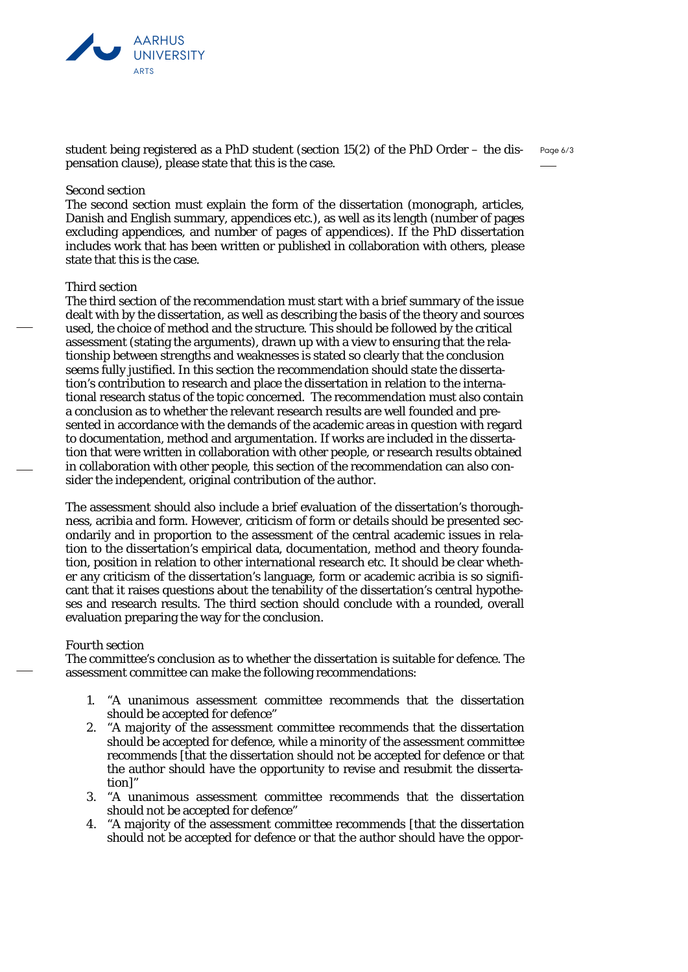

student being registered as a PhD student (section 15(2) of the PhD Order – the dispensation clause), please state that this is the case.

Page 6/3

### *Second section*

The second section must explain the form of the dissertation (monograph, articles, Danish and English summary, appendices etc.), as well as its length (number of pages excluding appendices, and number of pages of appendices). If the PhD dissertation includes work that has been written or published in collaboration with others, please state that this is the case.

### *Third section*

The third section of the recommendation must start with a brief summary of the issue dealt with by the dissertation, as well as describing the basis of the theory and sources used, the choice of method and the structure. This should be followed by the critical assessment (stating the arguments), drawn up with a view to ensuring that the relationship between strengths and weaknesses is stated so clearly that the conclusion seems fully justified. In this section the recommendation should state the dissertation's contribution to research and place the dissertation in relation to the international research status of the topic concerned. The recommendation must also contain a conclusion as to whether the relevant research results are well founded and presented in accordance with the demands of the academic areas in question with regard to documentation, method and argumentation. If works are included in the dissertation that were written in collaboration with other people, or research results obtained in collaboration with other people, this section of the recommendation can also consider the independent, original contribution of the author.

The assessment should also include a brief evaluation of the dissertation's thoroughness, acribia and form. However, criticism of form or details should be presented secondarily and in proportion to the assessment of the central academic issues in relation to the dissertation's empirical data, documentation, method and theory foundation, position in relation to other international research etc. It should be clear whether any criticism of the dissertation's language, form or academic acribia is so significant that it raises questions about the tenability of the dissertation's central hypotheses and research results. The third section should conclude with a rounded, overall evaluation preparing the way for the conclusion.

#### *Fourth section*

The committee's conclusion as to whether the dissertation is suitable for defence. The assessment committee can make the following recommendations:

- 1. "A unanimous assessment committee recommends that the dissertation should be accepted for defence"
- 2. "A majority of the assessment committee recommends that the dissertation should be accepted for defence, while a minority of the assessment committee recommends [that the dissertation should not be accepted for defence or that the author should have the opportunity to revise and resubmit the dissertation]"
- 3. "A unanimous assessment committee recommends that the dissertation should not be accepted for defence"
- 4. "A majority of the assessment committee recommends [that the dissertation should not be accepted for defence or that the author should have the oppor-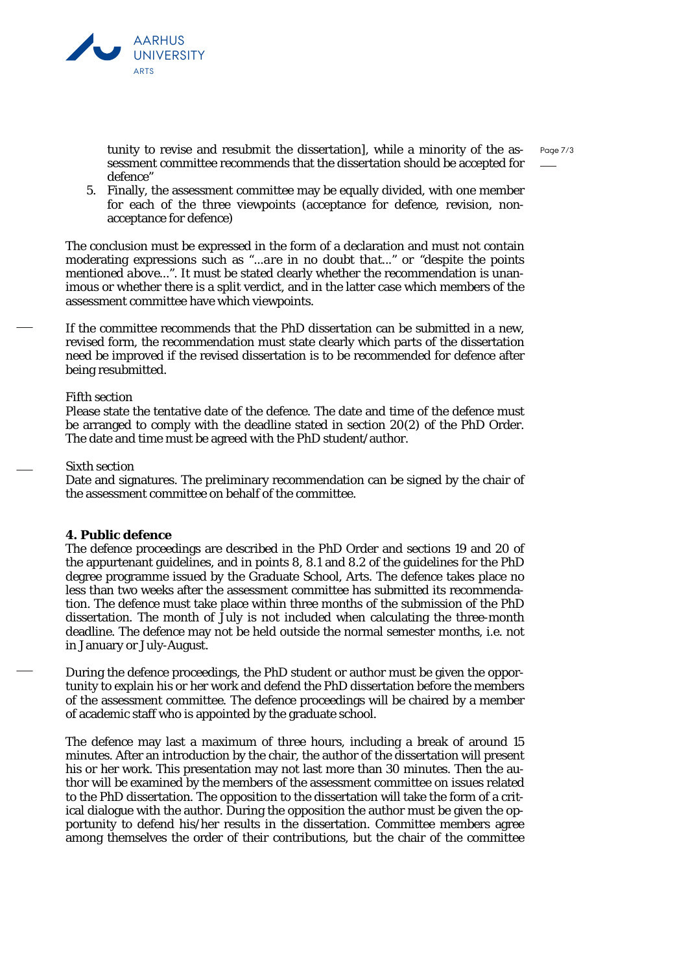



tunity to revise and resubmit the dissertation], while a minority of the assessment committee recommends that the dissertation should be accepted for defence"

5. Finally, the assessment committee may be equally divided, with one member for each of the three viewpoints (acceptance for defence, revision, nonacceptance for defence)

The conclusion must be expressed in the form of a declaration and must not contain moderating expressions such as "*...are in no doubt that..." or "despite the points mentioned above..."*. It must be stated clearly whether the recommendation is unanimous or whether there is a split verdict, and in the latter case which members of the assessment committee have which viewpoints.

If the committee recommends that the PhD dissertation can be submitted in a new, revised form, the recommendation must state clearly which parts of the dissertation need be improved if the revised dissertation is to be recommended for defence after being resubmitted.

## *Fifth section*

Please state the tentative date of the defence. The date and time of the defence must be arranged to comply with the deadline stated in section 20(2) of the PhD Order. The date and time must be agreed with the PhD student/author.

## *Sixth section*

Date and signatures. The preliminary recommendation can be signed by the chair of the assessment committee on behalf of the committee.

## **4. Public defence**

The defence proceedings are described in the PhD Order and sections 19 and 20 of the appurtenant guidelines, and in points 8, 8.1 and 8.2 of the guidelines for the PhD degree programme issued by the Graduate School, Arts. The defence takes place no less than two weeks after the assessment committee has submitted its recommendation. The defence must take place within three months of the submission of the PhD dissertation. The month of July is not included when calculating the three-month deadline. The defence may not be held outside the normal semester months, i.e. not in January or July-August.

During the defence proceedings, the PhD student or author must be given the opportunity to explain his or her work and defend the PhD dissertation before the members of the assessment committee. The defence proceedings will be chaired by a member of academic staff who is appointed by the graduate school.

The defence may last a maximum of three hours, including a break of around 15 minutes. After an introduction by the chair, the author of the dissertation will present his or her work. This presentation may not last more than 30 minutes. Then the author will be examined by the members of the assessment committee on issues related to the PhD dissertation. The opposition to the dissertation will take the form of a critical dialogue with the author. During the opposition the author must be given the opportunity to defend his/her results in the dissertation. Committee members agree among themselves the order of their contributions, but the chair of the committee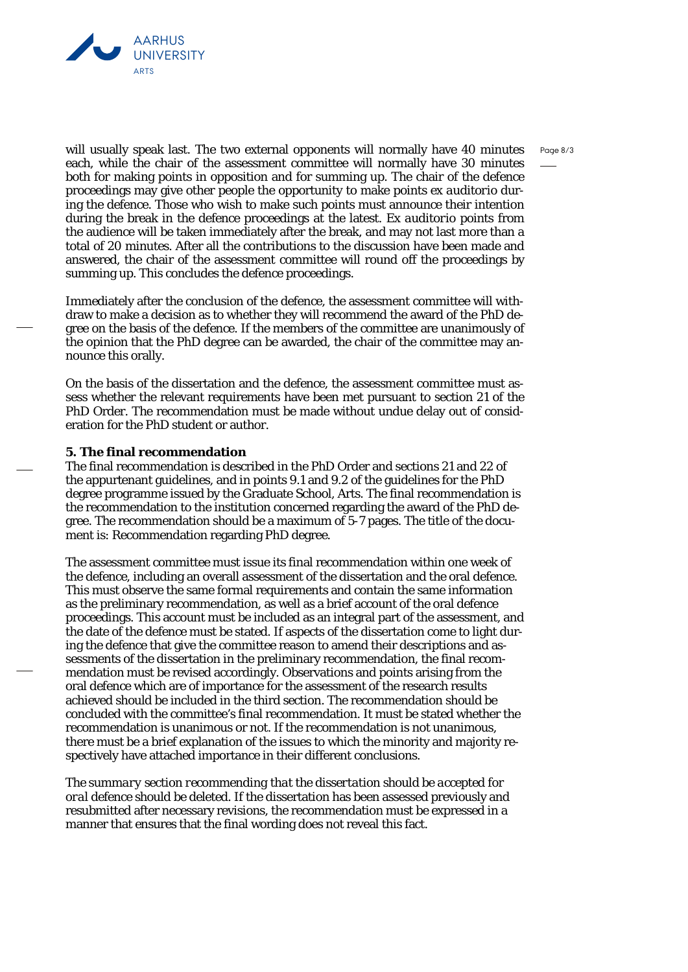



will usually speak last. The two external opponents will normally have 40 minutes each, while the chair of the assessment committee will normally have 30 minutes both for making points in opposition and for summing up. The chair of the defence proceedings may give other people the opportunity to make points *ex auditorio* during the defence. Those who wish to make such points must announce their intention during the break in the defence proceedings at the latest. *Ex auditorio* points from the audience will be taken immediately after the break, and may not last more than a total of 20 minutes. After all the contributions to the discussion have been made and answered, the chair of the assessment committee will round off the proceedings by summing up. This concludes the defence proceedings.

Immediately after the conclusion of the defence, the assessment committee will withdraw to make a decision as to whether they will recommend the award of the PhD degree on the basis of the defence. If the members of the committee are unanimously of the opinion that the PhD degree can be awarded, the chair of the committee may announce this orally.

On the basis of the dissertation and the defence, the assessment committee must assess whether the relevant requirements have been met pursuant to section 21 of the PhD Order. The recommendation must be made without undue delay out of consideration for the PhD student or author.

## **5. The final recommendation**

The final recommendation is described in the PhD Order and sections 21 and 22 of the appurtenant guidelines, and in points 9.1 and 9.2 of the guidelines for the PhD degree programme issued by the Graduate School, Arts. The final recommendation is the recommendation to the institution concerned regarding the award of the PhD degree. The recommendation should be a maximum of 5-7 pages. The title of the document is: Recommendation regarding PhD degree.

The assessment committee must issue its final recommendation within one week of the defence, including an overall assessment of the dissertation and the oral defence. This must observe the same formal requirements and contain the same information as the preliminary recommendation, as well as a brief account of the oral defence proceedings. This account must be included as an integral part of the assessment, and the date of the defence must be stated. If aspects of the dissertation come to light during the defence that give the committee reason to amend their descriptions and assessments of the dissertation in the preliminary recommendation, the final recommendation must be revised accordingly. Observations and points arising from the oral defence which are of importance for the assessment of the research results achieved should be included in the third section. The recommendation should be concluded with the committee's final recommendation. It must be stated whether the recommendation is unanimous or not. If the recommendation is not unanimous, there must be a brief explanation of the issues to which the minority and majority respectively have attached importance in their different conclusions.

*The summary section recommending that the dissertation should be accepted for oral defence should be deleted.* If the dissertation has been assessed previously and resubmitted after necessary revisions, the recommendation must be expressed in a manner that ensures that the final wording does not reveal this fact.